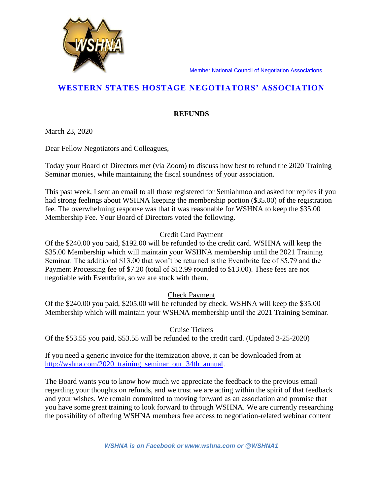Member National Council of Negotiation Associations



## **REFUNDS**

March 23, 2020

Dear Fellow Negotiators and Colleagues,

Today your Board of Directors met (via Zoom) to discuss how best to refund the 2020 Training Seminar monies, while maintaining the fiscal soundness of your association.

This past week, I sent an email to all those registered for Semiahmoo and asked for replies if you had strong feelings about WSHNA keeping the membership portion (\$35.00) of the registration fee. The overwhelming response was that it was reasonable for WSHNA to keep the \$35.00 Membership Fee. Your Board of Directors voted the following.

## Credit Card Payment

Of the \$240.00 you paid, \$192.00 will be refunded to the credit card. WSHNA will keep the \$35.00 Membership which will maintain your WSHNA membership until the 2021 Training Seminar. The additional \$13.00 that won't be returned is the Eventbrite fee of \$5.79 and the Payment Processing fee of \$7.20 (total of \$12.99 rounded to \$13.00). These fees are not negotiable with Eventbrite, so we are stuck with them.

## Check Payment

Of the \$240.00 you paid, \$205.00 will be refunded by check. WSHNA will keep the \$35.00 Membership which will maintain your WSHNA membership until the 2021 Training Seminar.

## Cruise Tickets

Of the \$53.55 you paid, \$53.55 will be refunded to the credit card. (Updated 3-25-2020)

If you need a generic invoice for the itemization above, it can be downloaded from at [http://wshna.com/2020\\_training\\_seminar\\_our\\_34th\\_annual.](http://wshna.com/2020_training_seminar_our_34th_annual)

The Board wants you to know how much we appreciate the feedback to the previous email regarding your thoughts on refunds, and we trust we are acting within the spirit of that feedback and your wishes. We remain committed to moving forward as an association and promise that you have some great training to look forward to through WSHNA. We are currently researching the possibility of offering WSHNA members free access to negotiation-related webinar content